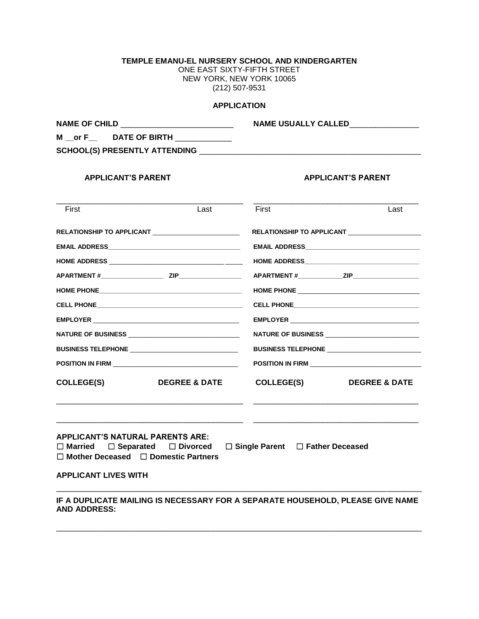# **TEMPLE EMANU-EL NURSERY SCHOOL AND KINDERGARTEN**

ONE EAST SIXTY-FIFTH STREET NEW YORK, NEW YORK 10065 (212) 507-9531

#### **APPLICATION**

**NAME OF CHILD** \_\_\_\_\_\_\_\_\_\_\_\_\_\_\_\_\_\_\_\_\_\_\_\_\_\_ **NAME USUALLY CALLED**\_\_\_\_\_\_\_\_\_\_\_\_\_\_\_\_

**M \_\_or F\_\_ DATE OF BIRTH** \_\_\_\_\_\_\_\_\_\_\_\_\_

**SCHOOL(S) PRESENTLY ATTENDING** \_\_\_\_\_\_\_\_\_\_\_\_\_\_\_\_\_\_\_\_\_\_\_\_\_\_\_\_\_\_\_\_\_\_\_\_\_\_\_\_\_\_\_\_\_\_\_\_\_\_\_

## **APPLICANT'S PARENT APPLICANT'S PARENT**

| First                                   | Last                                                               | First      | Last                      |
|-----------------------------------------|--------------------------------------------------------------------|------------|---------------------------|
|                                         | RELATIONSHIP TO APPLICANT NARROW AND THE RELATIONSHIP TO APPLICANT |            | RELATIONSHIP TO APPLICANT |
|                                         |                                                                    |            |                           |
|                                         |                                                                    |            |                           |
|                                         | APARTMENT # ZIP                                                    |            |                           |
|                                         |                                                                    |            |                           |
|                                         |                                                                    |            |                           |
| <b>NATURE OF BUSINESS</b>               |                                                                    |            |                           |
|                                         |                                                                    |            |                           |
|                                         |                                                                    |            |                           |
| <b>COLLEGE(S)</b>                       | <b>DEGREE &amp; DATE</b>                                           | COLLEGE(S) | <b>DEGREE &amp; DATE</b>  |
|                                         |                                                                    |            |                           |
| <b>APPLICANT'S NATURAL PARENTS ARE:</b> |                                                                    |            |                           |
|                                         | □ Married □ Separated □ Divorced □ Single Parent □ Father Deceased |            |                           |

☐ **Mother Deceased** ☐ **Domestic Partners**

**APPLICANT LIVES WITH**

**IF A DUPLICATE MAILING IS NECESSARY FOR A SEPARATE HOUSEHOLD, PLEASE GIVE NAME AND ADDRESS:**

\_\_\_\_\_\_\_\_\_\_\_\_\_\_\_\_\_\_\_\_\_\_\_\_\_\_\_\_\_\_\_\_\_\_\_\_\_\_\_\_\_\_\_\_\_\_\_\_\_\_\_\_\_\_\_\_\_\_\_\_\_\_\_\_\_\_\_\_\_\_\_\_\_\_\_\_\_\_\_\_\_\_\_\_

\_\_\_\_\_\_\_\_\_\_\_\_\_\_\_\_\_\_\_\_\_\_\_\_\_\_\_\_\_\_\_\_\_\_\_\_\_\_\_\_\_\_\_\_\_\_\_\_\_\_\_\_\_\_\_\_\_\_\_\_\_\_\_\_\_\_\_\_\_\_\_\_\_\_\_\_\_\_\_\_\_\_\_\_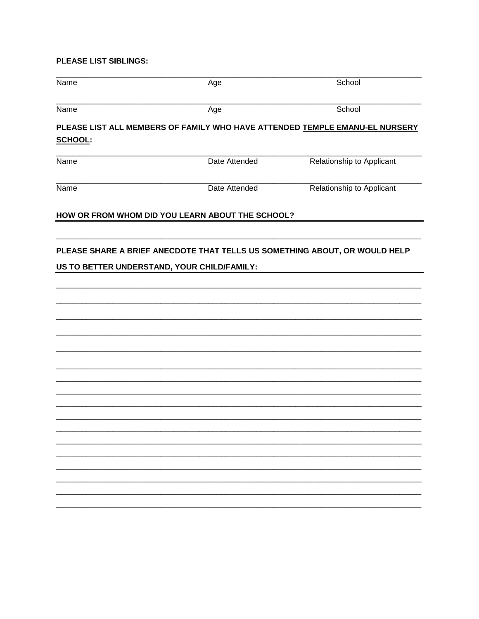## PLEASE LIST SIBLINGS:

| Name           | Age                                              | School                                                                      |
|----------------|--------------------------------------------------|-----------------------------------------------------------------------------|
| Name           | Age                                              | School                                                                      |
| <b>SCHOOL:</b> |                                                  | PLEASE LIST ALL MEMBERS OF FAMILY WHO HAVE ATTENDED TEMPLE EMANU-EL NURSERY |
| Name           | Date Attended                                    | Relationship to Applicant                                                   |
| Name           | Date Attended                                    | Relationship to Applicant                                                   |
|                | HOW OR FROM WHOM DID YOU LEARN ABOUT THE SCHOOL? |                                                                             |
|                | US TO BETTER UNDERSTAND, YOUR CHILD/FAMILY:      | PLEASE SHARE A BRIEF ANECDOTE THAT TELLS US SOMETHING ABOUT, OR WOULD HELP  |
|                |                                                  |                                                                             |
|                |                                                  |                                                                             |
|                |                                                  |                                                                             |
|                |                                                  |                                                                             |
|                |                                                  |                                                                             |
|                |                                                  |                                                                             |
|                |                                                  |                                                                             |
|                |                                                  |                                                                             |
|                |                                                  |                                                                             |
|                |                                                  |                                                                             |
|                |                                                  |                                                                             |
|                |                                                  |                                                                             |